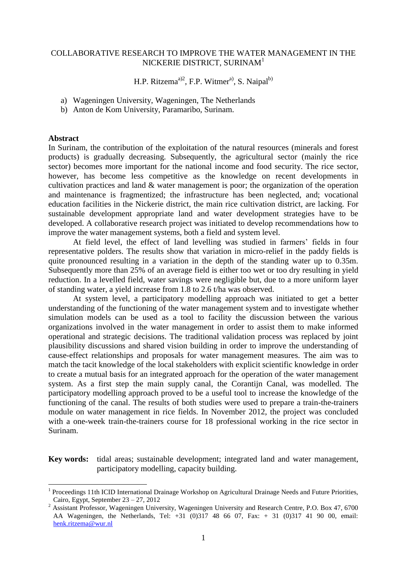## COLLABORATIVE RESEARCH TO IMPROVE THE WATER MANAGEMENT IN THE NICKERIE DISTRICT, SURINAM<sup>1</sup>

H.P. Ritzema<sup>a)2</sup>, F.P. Witmer<sup>a)</sup>, S. Naipal<sup>b)</sup>

- a) Wageningen University, Wageningen, The Netherlands
- b) Anton de Kom University, Paramaribo, Surinam.

#### **Abstract**

<u>.</u>

In Surinam, the contribution of the exploitation of the natural resources (minerals and forest products) is gradually decreasing. Subsequently, the agricultural sector (mainly the rice sector) becomes more important for the national income and food security. The rice sector, however, has become less competitive as the knowledge on recent developments in cultivation practices and land & water management is poor; the organization of the operation and maintenance is fragmentized; the infrastructure has been neglected, and; vocational education facilities in the Nickerie district, the main rice cultivation district, are lacking. For sustainable development appropriate land and water development strategies have to be developed. A collaborative research project was initiated to develop recommendations how to improve the water management systems, both a field and system level.

At field level, the effect of land levelling was studied in farmers' fields in four representative polders. The results show that variation in micro-relief in the paddy fields is quite pronounced resulting in a variation in the depth of the standing water up to 0.35m. Subsequently more than 25% of an average field is either too wet or too dry resulting in yield reduction. In a levelled field, water savings were negligible but, due to a more uniform layer of standing water, a yield increase from 1.8 to 2.6 t/ha was observed.

At system level, a participatory modelling approach was initiated to get a better understanding of the functioning of the water management system and to investigate whether simulation models can be used as a tool to facility the discussion between the various organizations involved in the water management in order to assist them to make informed operational and strategic decisions. The traditional validation process was replaced by joint plausibility discussions and shared vision building in order to improve the understanding of cause-effect relationships and proposals for water management measures. The aim was to match the tacit knowledge of the local stakeholders with explicit scientific knowledge in order to create a mutual basis for an integrated approach for the operation of the water management system. As a first step the main supply canal, the Corantijn Canal, was modelled. The participatory modelling approach proved to be a useful tool to increase the knowledge of the functioning of the canal. The results of both studies were used to prepare a train-the-trainers module on water management in rice fields. In November 2012, the project was concluded with a one-week train-the-trainers course for 18 professional working in the rice sector in Surinam.

**Key words:** tidal areas; sustainable development; integrated land and water management, participatory modelling, capacity building.

<sup>&</sup>lt;sup>1</sup> Proceedings 11th ICID International Drainage Workshop on Agricultural Drainage Needs and Future Priorities, Cairo, Egypt, September 23 – 27, 2012

<sup>&</sup>lt;sup>2</sup> Assistant Professor, Wageningen University, Wageningen University and Research Centre, P.O. Box 47, 6700 AA Wageningen, the Netherlands, Tel: +31 (0)317 48 66 07, Fax: + 31 (0)317 41 90 00, email: [henk.ritzema@wur.nl](mailto:henk.ritzema@wur.nl)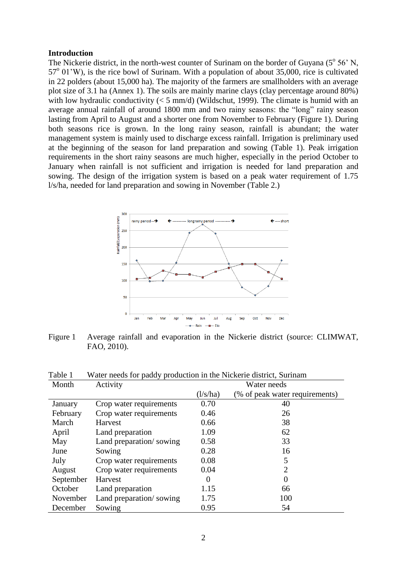## **Introduction**

The Nickerie district, in the north-west counter of Surinam on the border of Guyana  $(5^{\circ} 56^{\circ} N,$ 57<sup>o</sup> 01'W), is the rice bowl of Surinam. With a population of about 35,000, rice is cultivated in 22 polders (about 15,000 ha). The majority of the farmers are smallholders with an average plot size of 3.1 ha (Annex 1). The soils are mainly marine clays (clay percentage around 80%) with low hydraulic conductivity  $(< 5 \text{ mm/d})$  (Wildschut, 1999). The climate is humid with an average annual rainfall of around 1800 mm and two rainy seasons: the "long" rainy season lasting from April to August and a shorter one from November to February (Figure 1). During both seasons rice is grown. In the long rainy season, rainfall is abundant; the water management system is mainly used to discharge excess rainfall. Irrigation is preliminary used at the beginning of the season for land preparation and sowing (Table 1). Peak irrigation requirements in the short rainy seasons are much higher, especially in the period October to January when rainfall is not sufficient and irrigation is needed for land preparation and sowing. The design of the irrigation system is based on a peak water requirement of 1.75 l/s/ha, needed for land preparation and sowing in November (Table 2.)



Figure 1 Average rainfall and evaporation in the Nickerie district (source: CLIMWAT, FAO, 2010).

| ravit i<br>Month | Activity                | water needs for paddy production in the intereste district, Surmani<br>Water needs |                                |  |
|------------------|-------------------------|------------------------------------------------------------------------------------|--------------------------------|--|
|                  |                         | $\frac{1}{s}$ ha)                                                                  | (% of peak water requirements) |  |
| January          | Crop water requirements | 0.70                                                                               | 40                             |  |
| February         | Crop water requirements | 0.46                                                                               | 26                             |  |
| March            | <b>Harvest</b>          | 0.66                                                                               | 38                             |  |
| April            | Land preparation        | 1.09                                                                               | 62                             |  |
| May              | Land preparation/sowing | 0.58                                                                               | 33                             |  |
| June             | Sowing                  | 0.28                                                                               | 16                             |  |
| July             | Crop water requirements | 0.08                                                                               | 5                              |  |
| August           | Crop water requirements | 0.04                                                                               | $\overline{2}$                 |  |
| September        | Harvest                 | 0                                                                                  | $\Omega$                       |  |
| October          | Land preparation        | 1.15                                                                               | 66                             |  |
| November         | Land preparation/sowing | 1.75                                                                               | 100                            |  |
| December         | Sowing                  | 0.95                                                                               | 54                             |  |

Table 1 Water needs for paddy production in the Nickerie district, Surinam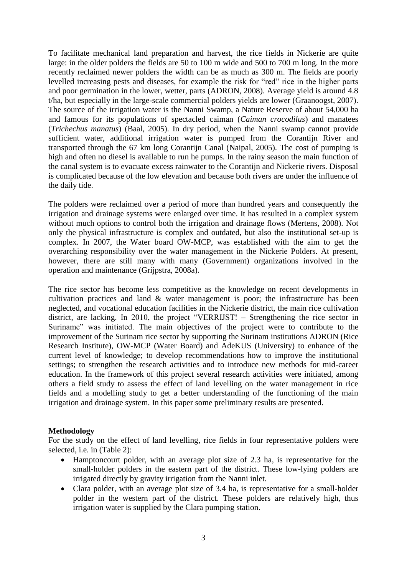To facilitate mechanical land preparation and harvest, the rice fields in Nickerie are quite large: in the older polders the fields are 50 to 100 m wide and 500 to 700 m long. In the more recently reclaimed newer polders the width can be as much as 300 m. The fields are poorly levelled increasing pests and diseases, for example the risk for "red" rice in the higher parts and poor germination in the lower, wetter, parts (ADRON, 2008). Average yield is around 4.8 t/ha, but especially in the large-scale commercial polders yields are lower (Graanoogst, 2007). The source of the irrigation water is the Nanni Swamp, a Nature Reserve of about 54,000 ha and famous for its populations of spectacled caiman (*Caiman crocodilus*) and manatees (*Trichechus manatus*) (Baal, 2005). In dry period, when the Nanni swamp cannot provide sufficient water, additional irrigation water is pumped from the Corantijn River and transported through the 67 km long Corantijn Canal (Naipal, 2005). The cost of pumping is high and often no diesel is available to run he pumps. In the rainy season the main function of the canal system is to evacuate excess rainwater to the Corantijn and Nickerie rivers. Disposal is complicated because of the low elevation and because both rivers are under the influence of the daily tide.

The polders were reclaimed over a period of more than hundred years and consequently the irrigation and drainage systems were enlarged over time. It has resulted in a complex system without much options to control both the irrigation and drainage flows (Mertens, 2008). Not only the physical infrastructure is complex and outdated, but also the institutional set-up is complex. In 2007, the Water board OW-MCP, was established with the aim to get the overarching responsibility over the water management in the Nickerie Polders. At present, however, there are still many with many (Government) organizations involved in the operation and maintenance (Grijpstra, 2008a).

The rice sector has become less competitive as the knowledge on recent developments in cultivation practices and land & water management is poor; the infrastructure has been neglected, and vocational education facilities in the Nickerie district, the main rice cultivation district, are lacking. In 2010, the project "VERRIJST! – Strengthening the rice sector in Suriname" was initiated. The main objectives of the project were to contribute to the improvement of the Surinam rice sector by supporting the Surinam institutions ADRON (Rice Research Institute), OW-MCP (Water Board) and AdeKUS (University) to enhance of the current level of knowledge; to develop recommendations how to improve the institutional settings; to strengthen the research activities and to introduce new methods for mid-career education. In the framework of this project several research activities were initiated, among others a field study to assess the effect of land levelling on the water management in rice fields and a modelling study to get a better understanding of the functioning of the main irrigation and drainage system. In this paper some preliminary results are presented.

## **Methodology**

For the study on the effect of land levelling, rice fields in four representative polders were selected, i.e. in (Table 2):

- Hamptoncourt polder, with an average plot size of 2.3 ha, is representative for the small-holder polders in the eastern part of the district. These low-lying polders are irrigated directly by gravity irrigation from the Nanni inlet.
- Clara polder, with an average plot size of 3.4 ha, is representative for a small-holder polder in the western part of the district. These polders are relatively high, thus irrigation water is supplied by the Clara pumping station.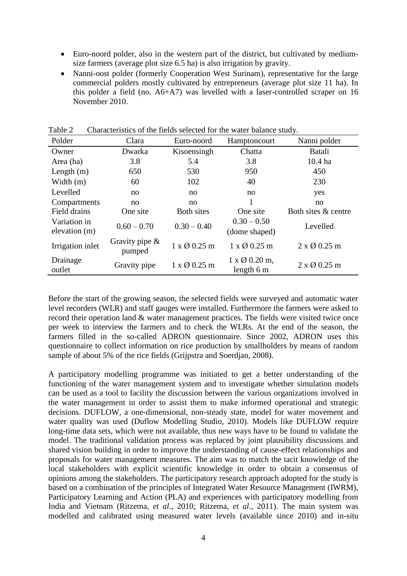- Euro-noord polder, also in the western part of the district, but cultivated by mediumsize farmers (average plot size 6.5 ha) is also irrigation by gravity.
- Nanni-oost polder (formerly Cooperation West Surinam), representative for the large commercial polders mostly cultivated by entrepreneurs (average plot size 11 ha). In this polder a field (no. A6+A7) was levelled with a laser-controlled scraper on 16 November 2010.

| Polder                        | Clara                       | Euro-noord          | Hamptoncourt                        | Nanni polder        |
|-------------------------------|-----------------------------|---------------------|-------------------------------------|---------------------|
| Owner                         | Dwarka                      | Kisoensingh         | Chatta                              | <b>Batali</b>       |
| Area (ha)                     | 3.8                         | 5.4                 | 3.8                                 | $10.4$ ha           |
| Length $(m)$                  | 650                         | 530                 | 950                                 | 450                 |
| Width $(m)$                   | 60                          | 102                 | 40                                  | 230                 |
| Levelled                      | no                          | no                  | no                                  | yes                 |
| Compartments                  | no                          | no                  |                                     | no                  |
| Field drains                  | One site                    | <b>Both sites</b>   | One site                            | Both sites & centre |
| Variation in<br>elevation (m) | $0.60 - 0.70$               | $0.30 - 0.40$       | $0.30 - 0.50$<br>(dome shaped)      | Levelled            |
| Irrigation inlet              | Gravity pipe $\&$<br>pumped | $1 \times Q$ 0.25 m | $1 \times Q$ 0.25 m                 | $2 \times Q$ 0.25 m |
| Drainage<br>outlet            | Gravity pipe                | $1 \times Q$ 0.25 m | $1 \times Q$ 0.20 m,<br>length $6m$ | $2 \times Q$ 0.25 m |

Table 2 Characteristics of the fields selected for the water balance study.

Before the start of the growing season, the selected fields were surveyed and automatic water level recorders (WLR) and staff gauges were installed. Furthermore the farmers were asked to record their operation land & water management practices. The fields were visited twice once per week to interview the farmers and to check the WLRs. At the end of the season, the farmers filled in the so-called ADRON questionnaire. Since 2002, ADRON uses this questionnaire to collect information on rice production by smallholders by means of random sample of about 5% of the rice fields (Grijpstra and Soerdjan, 2008).

A participatory modelling programme was initiated to get a better understanding of the functioning of the water management system and to investigate whether simulation models can be used as a tool to facility the discussion between the various organizations involved in the water management in order to assist them to make informed operational and strategic decisions. DUFLOW, a one-dimensional, non-steady state, model for water movement and water quality was used (Duflow Modelling Studio, 2010). Models like DUFLOW require long-time data sets, which were not available, thus new ways have to be found to validate the model. The traditional validation process was replaced by joint plausibility discussions and shared vision building in order to improve the understanding of cause-effect relationships and proposals for water management measures. The aim was to match the tacit knowledge of the local stakeholders with explicit scientific knowledge in order to obtain a consensus of opinions among the stakeholders. The participatory research approach adopted for the study is based on a combination of the principles of Integrated Water Resource Management (IWRM), Participatory Learning and Action (PLA) and experiences with participatory modelling from India and Vietnam (Ritzema, *et al*., 2010; Ritzema, *et al*., 2011). The main system was modelled and calibrated using measured water levels (available since 2010) and in-situ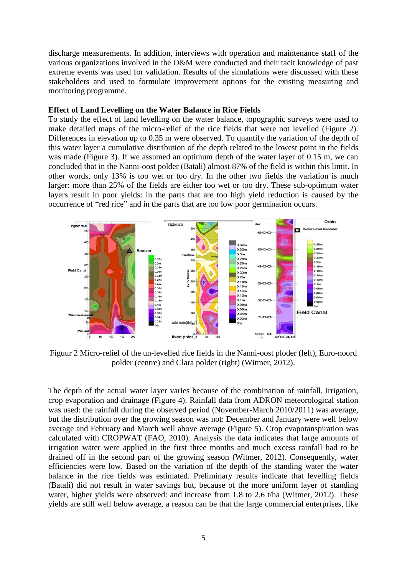discharge measurements. In addition, interviews with operation and maintenance staff of the various organizations involved in the O&M were conducted and their tacit knowledge of past extreme events was used for validation. Results of the simulations were discussed with these stakeholders and used to formulate improvement options for the existing measuring and monitoring programme.

## **Effect of Land Levelling on the Water Balance in Rice Fields**

To study the effect of land levelling on the water balance, topographic surveys were used to make detailed maps of the micro-relief of the rice fields that were not levelled (Figure 2). Differences in elevation up to 0.35 m were observed. To quantify the variation of the depth of this water layer a cumulative distribution of the depth related to the lowest point in the fields was made (Figure 3). If we assumed an optimum depth of the water layer of 0.15 m, we can concluded that in the Nanni-oost polder (Batali) almost 87% of the field is within this limit. In other words, only 13% is too wet or too dry. In the other two fields the variation is much larger: more than 25% of the fields are either too wet or too dry. These sub-optimum water layers result in poor yields: in the parts that are too high yield reduction is caused by the occurrence of "red rice" and in the parts that are too low poor germination occurs.



Figuur 2 Micro-relief of the un-levelled rice fields in the Nanni-oost ploder (left), Euro-noord polder (centre) and Clara polder (right) (Witmer, 2012).

The depth of the actual water layer varies because of the combination of rainfall, irrigation, crop evaporation and drainage (Figure 4). Rainfall data from ADRON meteorological station was used: the rainfall during the observed period (November-March 2010/2011) was average, but the distribution over the growing season was not: December and January were well below average and February and March well above average (Figure 5). Crop evapotanspiration was calculated with CROPWAT (FAO, 2010). Analysis the data indicates that large amounts of irrigation water were applied in the first three months and much excess rainfall had to be drained off in the second part of the growing season (Witmer, 2012). Consequently, water efficiencies were low. Based on the variation of the depth of the standing water the water balance in the rice fields was estimated. Preliminary results indicate that levelling fields (Batali) did not result in water savings but, because of the more uniform layer of standing water, higher yields were observed: and increase from 1.8 to 2.6 t/ha (Witmer, 2012). These yields are still well below average, a reason can be that the large commercial enterprises, like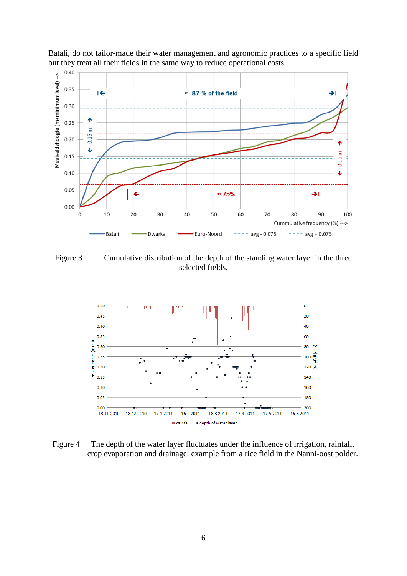

Batali, do not tailor-made their water management and agronomic practices to a specific field but they treat all their fields in the same way to reduce operational costs.

Figure 3 Cumulative distribution of the depth of the standing water layer in the three selected fields.



Figure 4 The depth of the water layer fluctuates under the influence of irrigation, rainfall, crop evaporation and drainage: example from a rice field in the Nanni-oost polder.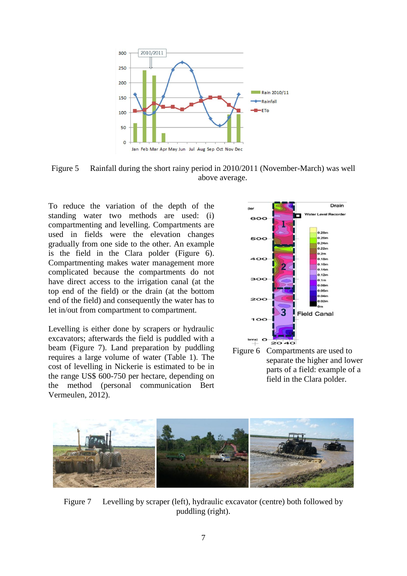

Figure 5 Rainfall during the short rainy period in 2010/2011 (November-March) was well above average.

To reduce the variation of the depth of the standing water two methods are used: (i) compartmenting and levelling. Compartments are used in fields were the elevation changes gradually from one side to the other. An example is the field in the Clara polder (Figure 6). Compartmenting makes water management more complicated because the compartments do not have direct access to the irrigation canal (at the top end of the field) or the drain (at the bottom end of the field) and consequently the water has to let in/out from compartment to compartment.

Levelling is either done by scrapers or hydraulic excavators; afterwards the field is puddled with a beam (Figure 7). Land preparation by puddling requires a large volume of water (Table 1). The cost of levelling in Nickerie is estimated to be in the range US\$ 600-750 per hectare, depending on the method (personal communication Bert Vermeulen, 2012).



Figure 6 Compartments are used to separate the higher and lower parts of a field: example of a field in the Clara polder.



Figure 7 Levelling by scraper (left), hydraulic excavator (centre) both followed by puddling (right).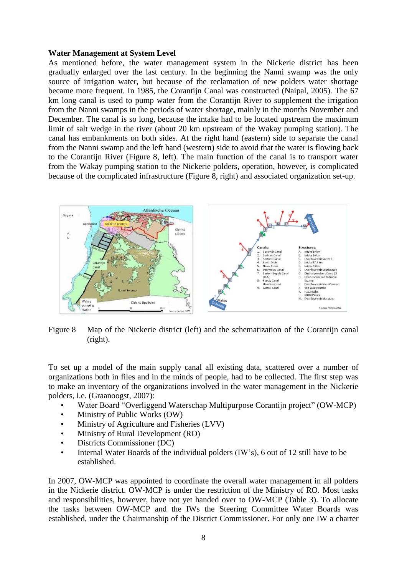#### **Water Management at System Level**

As mentioned before, the water management system in the Nickerie district has been gradually enlarged over the last century. In the beginning the Nanni swamp was the only source of irrigation water, but because of the reclamation of new polders water shortage became more frequent. In 1985, the Corantijn Canal was constructed (Naipal, 2005). The 67 km long canal is used to pump water from the Corantijn River to supplement the irrigation from the Nanni swamps in the periods of water shortage, mainly in the months November and December. The canal is so long, because the intake had to be located upstream the maximum limit of salt wedge in the river (about 20 km upstream of the Wakay pumping station). The canal has embankments on both sides. At the right hand (eastern) side to separate the canal from the Nanni swamp and the left hand (western) side to avoid that the water is flowing back to the Corantijn River (Figure 8, left). The main function of the canal is to transport water from the Wakay pumping station to the Nickerie polders, operation, however, is complicated because of the complicated infrastructure (Figure 8, right) and associated organization set-up.



Figure 8 Map of the Nickerie district (left) and the schematization of the Corantijn canal (right).

To set up a model of the main supply canal all existing data, scattered over a number of organizations both in files and in the minds of people, had to be collected. The first step was to make an inventory of the organizations involved in the water management in the Nickerie polders, i.e. (Graanoogst, 2007):

- Water Board "Overliggend Waterschap Multipurpose Corantijn project" (OW-MCP)
- Ministry of Public Works (OW)
- Ministry of Agriculture and Fisheries (LVV)
- Ministry of Rural Development (RO)
- Districts Commissioner (DC)
- Internal Water Boards of the individual polders (IW's), 6 out of 12 still have to be established.

In 2007, OW-MCP was appointed to coordinate the overall water management in all polders in the Nickerie district. OW-MCP is under the restriction of the Ministry of RO. Most tasks and responsibilities, however, have not yet handed over to OW-MCP (Table 3). To allocate the tasks between OW-MCP and the IWs the Steering Committee Water Boards was established, under the Chairmanship of the District Commissioner. For only one IW a charter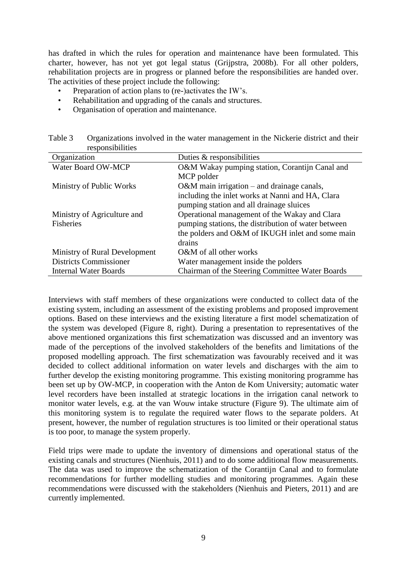has drafted in which the rules for operation and maintenance have been formulated. This charter, however, has not yet got legal status (Grijpstra, 2008b). For all other polders, rehabilitation projects are in progress or planned before the responsibilities are handed over. The activities of these project include the following:

- Preparation of action plans to (re-)activates the IW's.
- Rehabilitation and upgrading of the canals and structures.
- Organisation of operation and maintenance.

| 10990119101110109             |                                                     |
|-------------------------------|-----------------------------------------------------|
| Organization                  | Duties $&$ responsibilities                         |
| Water Board OW-MCP            | O&M Wakay pumping station, Corantijn Canal and      |
|                               | MCP polder                                          |
| Ministry of Public Works      | O&M main irrigation – and drainage canals,          |
|                               | including the inlet works at Nanni and HA, Clara    |
|                               | pumping station and all drainage sluices            |
| Ministry of Agriculture and   | Operational management of the Wakay and Clara       |
| <b>Fisheries</b>              | pumping stations, the distribution of water between |
|                               | the polders and O&M of IKUGH inlet and some main    |
|                               | drains                                              |
| Ministry of Rural Development | O&M of all other works                              |
| <b>Districts Commissioner</b> | Water management inside the polders                 |
| <b>Internal Water Boards</b>  | Chairman of the Steering Committee Water Boards     |

Table 3 Organizations involved in the water management in the Nickerie district and their responsibilities

Interviews with staff members of these organizations were conducted to collect data of the existing system, including an assessment of the existing problems and proposed improvement options. Based on these interviews and the existing literature a first model schematization of the system was developed (Figure 8, right). During a presentation to representatives of the above mentioned organizations this first schematization was discussed and an inventory was made of the perceptions of the involved stakeholders of the benefits and limitations of the proposed modelling approach. The first schematization was favourably received and it was decided to collect additional information on water levels and discharges with the aim to further develop the existing monitoring programme. This existing monitoring programme has been set up by OW-MCP, in cooperation with the Anton de Kom University; automatic water level recorders have been installed at strategic locations in the irrigation canal network to monitor water levels, e.g. at the van Wouw intake structure (Figure 9). The ultimate aim of this monitoring system is to regulate the required water flows to the separate polders. At present, however, the number of regulation structures is too limited or their operational status is too poor, to manage the system properly.

Field trips were made to update the inventory of dimensions and operational status of the existing canals and structures (Nienhuis, 2011) and to do some additional flow measurements. The data was used to improve the schematization of the Corantijn Canal and to formulate recommendations for further modelling studies and monitoring programmes. Again these recommendations were discussed with the stakeholders (Nienhuis and Pieters, 2011) and are currently implemented.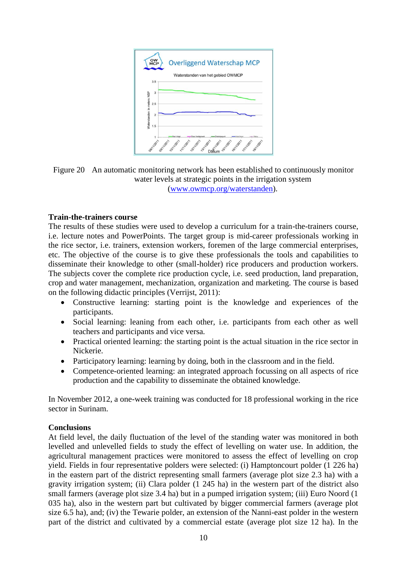

Figure 20 An automatic monitoring network has been established to continuously monitor water levels at strategic points in the irrigation system [\(www.owmcp.org/waterstanden\)](http://www.owmcp.org/waterstanden).

## **Train-the-trainers course**

The results of these studies were used to develop a curriculum for a train-the-trainers course, i.e. lecture notes and PowerPoints. The target group is mid-career professionals working in the rice sector, i.e. trainers, extension workers, foremen of the large commercial enterprises, etc. The objective of the course is to give these professionals the tools and capabilities to disseminate their knowledge to other (small-holder) rice producers and production workers. The subjects cover the complete rice production cycle, i.e. seed production, land preparation, crop and water management, mechanization, organization and marketing. The course is based on the following didactic principles (Verrijst, 2011):

- Constructive learning: starting point is the knowledge and experiences of the participants.
- Social learning: leaning from each other, i.e. participants from each other as well teachers and participants and vice versa.
- Practical oriented learning: the starting point is the actual situation in the rice sector in Nickerie.
- Participatory learning: learning by doing, both in the classroom and in the field.
- Competence-oriented learning: an integrated approach focussing on all aspects of rice production and the capability to disseminate the obtained knowledge.

In November 2012, a one-week training was conducted for 18 professional working in the rice sector in Surinam.

# **Conclusions**

At field level, the daily fluctuation of the level of the standing water was monitored in both levelled and unlevelled fields to study the effect of levelling on water use. In addition, the agricultural management practices were monitored to assess the effect of levelling on crop yield. Fields in four representative polders were selected: (i) Hamptoncourt polder (1 226 ha) in the eastern part of the district representing small farmers (average plot size 2.3 ha) with a gravity irrigation system; (ii) Clara polder (1 245 ha) in the western part of the district also small farmers (average plot size 3.4 ha) but in a pumped irrigation system; (iii) Euro Noord (1 035 ha), also in the western part but cultivated by bigger commercial farmers (average plot size 6.5 ha), and; (iv) the Tewarie polder, an extension of the Nanni-east polder in the western part of the district and cultivated by a commercial estate (average plot size 12 ha). In the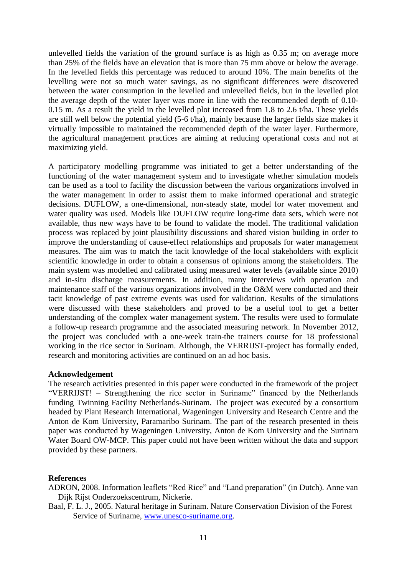unlevelled fields the variation of the ground surface is as high as 0.35 m; on average more than 25% of the fields have an elevation that is more than 75 mm above or below the average. In the levelled fields this percentage was reduced to around 10%. The main benefits of the levelling were not so much water savings, as no significant differences were discovered between the water consumption in the levelled and unlevelled fields, but in the levelled plot the average depth of the water layer was more in line with the recommended depth of 0.10- 0.15 m. As a result the yield in the levelled plot increased from 1.8 to 2.6 t/ha. These yields are still well below the potential yield (5-6 t/ha), mainly because the larger fields size makes it virtually impossible to maintained the recommended depth of the water layer. Furthermore, the agricultural management practices are aiming at reducing operational costs and not at maximizing yield.

A participatory modelling programme was initiated to get a better understanding of the functioning of the water management system and to investigate whether simulation models can be used as a tool to facility the discussion between the various organizations involved in the water management in order to assist them to make informed operational and strategic decisions. DUFLOW, a one-dimensional, non-steady state, model for water movement and water quality was used. Models like DUFLOW require long-time data sets, which were not available, thus new ways have to be found to validate the model. The traditional validation process was replaced by joint plausibility discussions and shared vision building in order to improve the understanding of cause-effect relationships and proposals for water management measures. The aim was to match the tacit knowledge of the local stakeholders with explicit scientific knowledge in order to obtain a consensus of opinions among the stakeholders. The main system was modelled and calibrated using measured water levels (available since 2010) and in-situ discharge measurements. In addition, many interviews with operation and maintenance staff of the various organizations involved in the O&M were conducted and their tacit knowledge of past extreme events was used for validation. Results of the simulations were discussed with these stakeholders and proved to be a useful tool to get a better understanding of the complex water management system. The results were used to formulate a follow-up research programme and the associated measuring network. In November 2012, the project was concluded with a one-week train-the trainers course for 18 professional working in the rice sector in Surinam. Although, the VERRIJST-project has formally ended, research and monitoring activities are continued on an ad hoc basis.

#### **Acknowledgement**

The research activities presented in this paper were conducted in the framework of the project "VERRIJST! – Strengthening the rice sector in Suriname" financed by the Netherlands funding Twinning Facility Netherlands-Surinam. The project was executed by a consortium headed by Plant Research International, Wageningen University and Research Centre and the Anton de Kom University, Paramaribo Surinam. The part of the research presented in theis paper was conducted by Wageningen University, Anton de Kom University and the Surinam Water Board OW-MCP. This paper could not have been written without the data and support provided by these partners.

## **References**

ADRON, 2008. Information leaflets "Red Rice" and "Land preparation" (in Dutch). Anne van Dijk Rijst Onderzoekscentrum, Nickerie.

Baal, F. L. J., 2005. Natural heritage in Surinam. Nature Conservation Division of the Forest Service of Suriname, [www.unesco-suriname.org.](http://www.unesco-suriname.org/)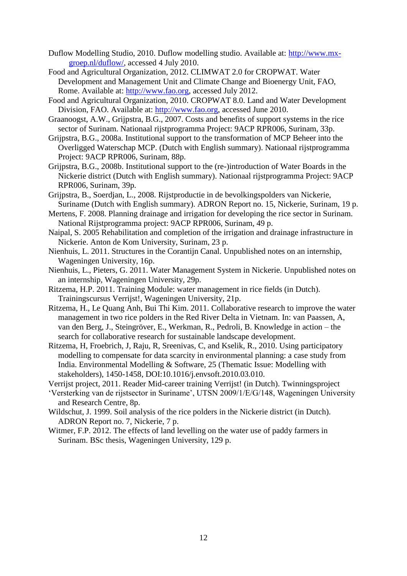- Duflow Modelling Studio, 2010. Duflow modelling studio. Available at: [http://www.mx](http://www.mx-groep.nl/duflow/)[groep.nl/duflow/,](http://www.mx-groep.nl/duflow/) accessed 4 July 2010.
- Food and Agricultural Organization, 2012. CLIMWAT 2.0 for CROPWAT. Water Development and Management Unit and Climate Change and Bioenergy Unit, FAO, Rome. Available at: [http://www.fao.org,](http://www.fao.org/) accessed July 2012.
- Food and Agricultural Organization, 2010. CROPWAT 8.0. Land and Water Development Division, FAO. Available at: [http://www.fao.org,](http://www.fao.org/) accessed June 2010.
- Graanoogst, A.W., Grijpstra, B.G., 2007. Costs and benefits of support systems in the rice sector of Surinam. Nationaal rijstprogramma Project: 9ACP RPR006, Surinam, 33p.
- Grijpstra, B.G., 2008a. Institutional support to the transformation of MCP Beheer into the Overligged Waterschap MCP. (Dutch with English summary). Nationaal rijstprogramma Project: 9ACP RPR006, Surinam, 88p.
- Grijpstra, B.G., 2008b. Institutional support to the (re-)introduction of Water Boards in the Nickerie district (Dutch with English summary). Nationaal rijstprogramma Project: 9ACP RPR006, Surinam, 39p.
- Grijpstra, B., Soerdjan, L., 2008. Rijstproductie in de bevolkingspolders van Nickerie, Suriname (Dutch with English summary). ADRON Report no. 15, Nickerie, Surinam, 19 p.
- Mertens, F. 2008. Planning drainage and irrigation for developing the rice sector in Surinam. National Rijstprogramma project: 9ACP RPR006, Surinam, 49 p.
- Naipal, S. 2005 Rehabilitation and completion of the irrigation and drainage infrastructure in Nickerie. Anton de Kom University, Surinam, 23 p.
- Nienhuis, L. 2011. Structures in the Corantiin Canal. Unpublished notes on an internship, Wageningen University, 16p.
- Nienhuis, L., Pieters, G. 2011. Water Management System in Nickerie. Unpublished notes on an internship, Wageningen University, 29p.
- Ritzema, H.P. 2011. Training Module: water management in rice fields (in Dutch). Trainingscursus Verrijst!, Wageningen University, 21p.
- Ritzema, H., Le Quang Anh, Bui Thi Kim. 2011. Collaborative research to improve the water management in two rice polders in the Red River Delta in Vietnam. In: van Paassen, A, van den Berg, J., Steingröver, E., Werkman, R., Pedroli, B. Knowledge in action – the search for collaborative research for sustainable landscape development.
- Ritzema, H, Froebrich, J, Raju, R, Sreenivas, C, and Kselik, R., 2010. Using participatory modelling to compensate for data scarcity in environmental planning: a case study from India. Environmental Modelling & Software, 25 (Thematic Issue: Modelling with stakeholders), 1450-1458, DOI:10.1016/j.envsoft.2010.03.010.
- Verrijst project, 2011. Reader Mid-career training Verrijst! (in Dutch). Twinningsproject
- 'Versterking van de rijstsector in Suriname', UTSN 2009/1/E/G/148, Wageningen University and Research Centre, 8p.
- Wildschut, J. 1999. Soil analysis of the rice polders in the Nickerie district (in Dutch). ADRON Report no. 7, Nickerie, 7 p.
- Witmer, F.P. 2012. The effects of land levelling on the water use of paddy farmers in Surinam. BSc thesis, Wageningen University, 129 p.